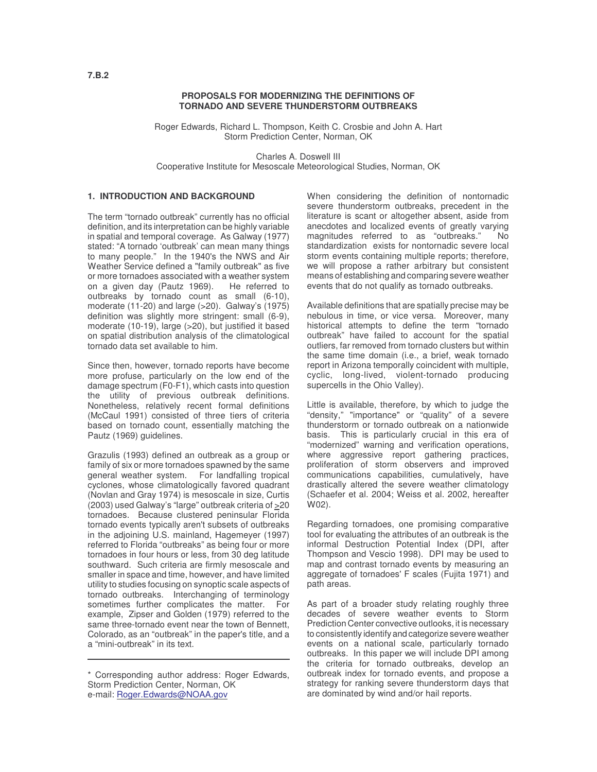## **PROPOSALS FOR MODERNIZING THE DEFINITIONS OF TORNADO AND SEVERE THUNDERSTORM OUTBREAKS**

Roger Edwards, Richard L. Thompson, Keith C. Crosbie and John A. Hart Storm Prediction Center, Norman, OK

Charles A. Doswell III Cooperative Institute for Mesoscale Meteorological Studies, Norman, OK

### **1. INTRODUCTION AND BACKGROUND**

The term "tornado outbreak" currently has no official definition, and its interpretation can be highly variable in spatial and temporal coverage. As Galway (1977) stated: "A tornado 'outbreak' can mean many things to many people." In the 1940's the NWS and Air Weather Service defined a "family outbreak" as five or more tornadoes associated with a weather system on a given day (Pautz 1969). He referred to outbreaks by tornado count as small (6-10), moderate (11-20) and large (>20). Galway's (1975) definition was slightly more stringent: small (6-9), moderate (10-19), large (>20), but justified it based on spatial distribution analysis of the climatological tornado data set available to him.

Since then, however, tornado reports have become more profuse, particularly on the low end of the damage spectrum (F0-F1), which casts into question the utility of previous outbreak definitions. Nonetheless, relatively recent formal definitions (McCaul 1991) consisted of three tiers of criteria based on tornado count, essentially matching the Pautz (1969) guidelines.

Grazulis (1993) defined an outbreak as a group or family of six or more tornadoes spawned by the same general weather system. For landfalling tropical cyclones, whose climatologically favored quadrant (Novlan and Gray 1974) is mesoscale in size, Curtis (2003) used Galway's "large" outbreak criteria of >20 tornadoes. Because clustered peninsular Florida tornado events typically aren't subsets of outbreaks in the adjoining U.S. mainland, Hagemeyer (1997) referred to Florida "outbreaks" as being four or more tornadoes in four hours or less, from 30 deg latitude southward. Such criteria are firmly mesoscale and smaller in space and time, however, and have limited utility to studies focusing on synoptic scale aspects of tornado outbreaks. Interchanging of terminology sometimes further complicates the matter. For example, Zipser and Golden (1979) referred to the same three-tornado event near the town of Bennett, Colorado, as an "outbreak" in the paper's title, and a a "mini-outbreak" in its text.

When considering the definition of nontornadic severe thunderstorm outbreaks, precedent in the literature is scant or altogether absent, aside from anecdotes and localized events of greatly varying magnitudes referred to as "outbreaks." No standardization exists for nontornadic severe local storm events containing multiple reports; therefore, we will propose a rather arbitrary but consistent means of establishing and comparing severe weather events that do not qualify as tornado outbreaks.

Available definitions that are spatially precise may be nebulous in time, or vice versa. Moreover, many historical attempts to define the term "tornado outbreak" have failed to account for the spatial outliers, far removed from tornado clusters but within the same time domain (i.e., a brief, weak tornado report in Arizona temporally coincident with multiple, cyclic, long-lived, violent-tornado producing supercells in the Ohio Valley).

Little is available, therefore, by which to judge the "density," "importance" or "quality" of a severe thunderstorm or tornado outbreak on a nationwide basis. This is particularly crucial in this era of "modernized" warning and verification operations, where aggressive report gathering practices, proliferation of storm observers and improved communications capabilities, cumulatively, have drastically altered the severe weather climatology (Schaefer et al. 2004; Weiss et al. 2002, hereafter W02).

Regarding tornadoes, one promising comparative tool for evaluating the attributes of an outbreak is the informal Destruction Potential Index (DPI, after Thompson and Vescio 1998). DPI may be used to map and contrast tornado events by measuring an aggregate of tornadoes'F scales (Fujita 1971) and path areas.

As part of a broader study relating roughly three decades of severe weather events to Storm Prediction Center convective outlooks, it is necessary to consistently identify and categorize severe weather events on a national scale, particularly tornado outbreaks. In this paper we will include DPI among the criteria for tornado outbreaks, develop an outbreak index for tornado events, and propose a strategy for ranking severe thunderstorm days that are dominated by wind and/or hail reports.

<sup>\*</sup> Corresponding author address: Roger Edwards, Storm Prediction Center, Norman, OK e-mail: Roger.Edwards@NOAA.gov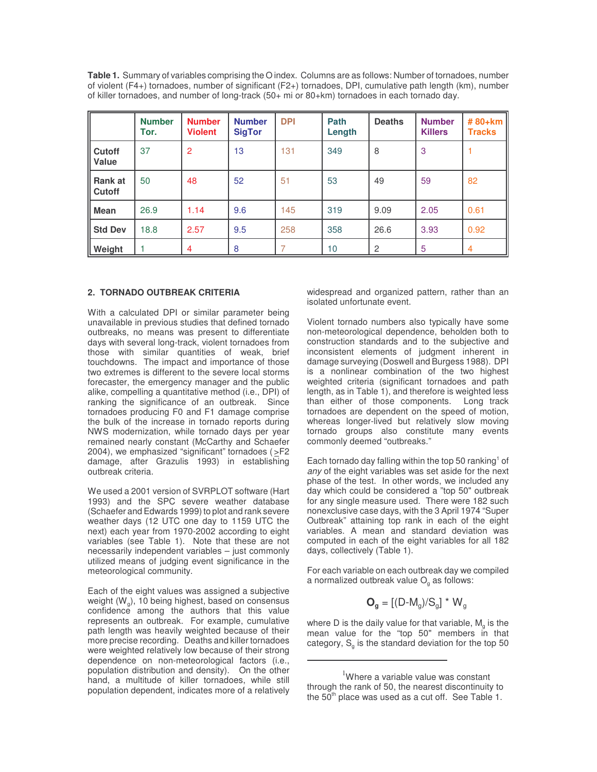**Table 1.** Summary of variables comprising the O index. Columns are as follows: Number of tornadoes, number of violent (F4+) tornadoes, number of significant (F2+) tornadoes, DPI, cumulative path length (km), number of killer tornadoes, and number of long-track (50+ mi or 80+km) tornadoes in each tornado day.

|                      | <b>Number</b><br>Tor. | <b>Number</b><br><b>Violent</b> | <b>Number</b><br><b>SigTor</b> | <b>DPI</b> | Path<br>Length | <b>Deaths</b> | <b>Number</b><br><b>Killers</b> | #80+km<br><b>Tracks</b> |
|----------------------|-----------------------|---------------------------------|--------------------------------|------------|----------------|---------------|---------------------------------|-------------------------|
| Cutoff<br>Value      | 37                    | $\overline{2}$                  | 13                             | 131        | 349            | 8             | 3                               |                         |
| II Rank at<br>Cutoff | 50                    | 48                              | 52                             | 51         | 53             | 49            | 59                              | 82                      |
| Mean                 | 26.9                  | 1.14                            | 9.6                            | 145        | 319            | 9.09          | 2.05                            | 0.61                    |
| Std Dev              | 18.8                  | 2.57                            | 9.5                            | 258        | 358            | 26.6          | 3.93                            | 0.92                    |
| Weight               |                       | $\overline{4}$                  | 8                              |            | 10             | 2             | $\overline{5}$                  | $\overline{4}$          |

### **2. TORNADO OUTBREAK CRITERIA**

With a calculated DPI or similar parameter being unavailable in previous studies that defined tornado outbreaks, no means was present to differentiate days with several long-track, violent tornadoes from those with similar quantities of weak, brief touchdowns. The impact and importance of those two extremes is different to the severe local storms forecaster, the emergency manager and the public alike, compelling a quantitative method (i.e., DPI) of ranking the significance of an outbreak. Since tornadoes producing F0 and F1 damage comprise the bulk of the increase in tornado reports during NWS modernization, while tornado days per year remained nearly constant (McCarthy and Schaefer 2004), we emphasized "significant" tornadoes ( >F2 damage, after Grazulis 1993) in establishing outbreak criteria.

We used a 2001 version of SVRPLOT software (Hart 1993) and the SPC severe weather database (Schaefer and Edwards 1999) to plot and rank severe weather days (12 UTC one day to 1159 UTC the next) each year from 1970-2002 according to eight variables (see Table 1). Note that these are not necessarily independent variables – just commonly utilized means of judging event significance in the meteorological community.

Each of the eight values was assigned a subjective weight (W<sub>g</sub>), 10 being highest, based on consensus confidence among the authors that this value represents an outbreak. For example, cumulative path length was heavily weighted because of their more precise recording. Deaths and killer tornadoes were weighted relatively low because of their strong dependence on non-meteorological factors (i.e., population distribution and density). On the other hand, a multitude of killer tornadoes, while still population dependent, indicates more of a relatively

widespread and organized pattern, rather than an isolated unfortunate event.

Violent tornado numbers also typically have some non-meteorological dependence, beholden both to construction standards and to the subjective and inconsistent elements of judgment inherent in damage surveying (Doswell and Burgess 1988). DPI is a nonlinear combination of the two highest weighted criteria (significant tornadoes and path length, as in Table 1), and therefore is weighted less than either of those components. Long track tornadoes are dependent on the speed of motion, whereas longer-lived but relatively slow moving tornado groups also constitute many events commonly deemed "outbreaks."

Each tornado day falling within the top 50 ranking<sup>1</sup> of *any* of the eight variables was set aside for the next phase of the test. In other words, we included any day which could be considered a "top 50" outbreak for any single measure used. There were 182 such nonexclusive case days, with the 3 April 1974 "Super Outbreak" attaining top rank in each of the eight variables. A mean and standard deviation was computed in each of the eight variables for all 182 days, collectively (Table 1).

For each variable on each outbreak day we compiled a normalized outbreak value  $O<sub>a</sub>$  as follows:

$$
\mathbf{O}_{g} = [(D - M_{g})/S_{g}] \star W_{g}
$$

where D is the daily value for that variable,  $\mathsf{M}_{\mathsf{g}}$  is the mean value for the "top 50" members in that category,  $\mathsf{S}_{\mathsf{g}}$  is the standard deviation for the top 50

<sup>&</sup>lt;sup>1</sup>Where a variable value was constant through the rank of 50, the nearest discontinuity to the 50<sup>th</sup> place was used as a cut off. See Table 1.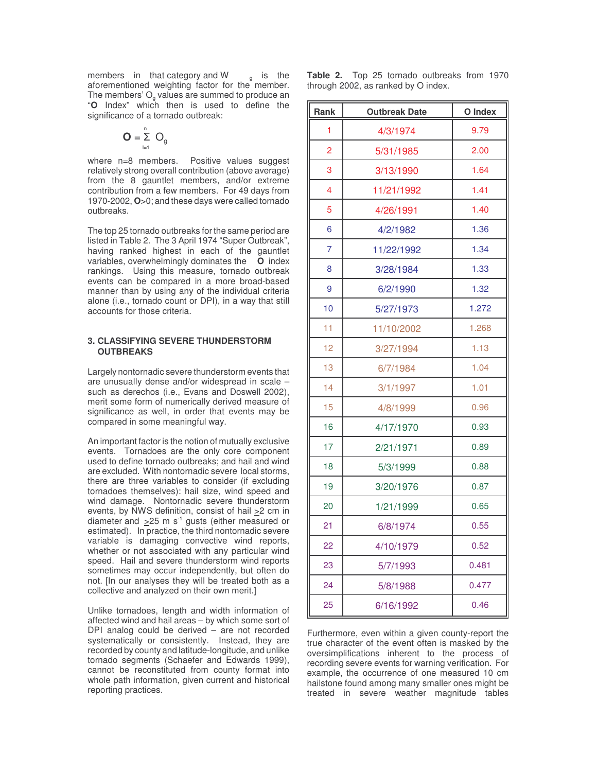members in that category and W  $g$  is the aforementioned weighting factor for the member. The members'  $O<sub>a</sub>$  values are summed to produce an "**O** Index" which then is used to define the significance of a tornado outbreak:

$$
\mathbf{O} = \sum_{i=1}^{n} O_g
$$

where n=8 members. Positive values suggest relatively strong overall contribution (above average) from the 8 gauntlet members, and/or extreme contribution from a few members. For 49 days from 1970-2002, **O**>0; and these days were called tornado outbreaks.

The top 25 tornado outbreaks for the same period are listed in Table 2. The 3 April 1974 "Super Outbreak", having ranked highest in each of the gauntlet variables, overwhelmingly dominates the **O** index rankings. Using this measure, tornado outbreak events can be compared in a more broad-based manner than by using any of the individual criteria alone (i.e., tornado count or DPI), in a way that still accounts for those criteria.

### **3. CLASSIFYING SEVERE THUNDERSTORM OUTBREAKS**

Largely nontornadic severe thunderstorm events that are unusually dense and/or widespread in scale – such as derechos (i.e., Evans and Doswell 2002), merit some form of numerically derived measure of significance as well, in order that events may be compared in some meaningful way.

An important factor is the notion of mutually exclusive events. Tornadoes are the only core component used to define tornado outbreaks; and hail and wind are excluded. With nontornadic severe local storms, there are three variables to consider (if excluding tornadoes themselves): hail size, wind speed and wind damage. Nontornadic severe thunderstorm events, by NWS definition, consist of hail >2 cm in diameter and  $\geq$ 25 m s<sup>-1</sup> gusts (either measured or estimated). In practice, the third nontornadic severe variable is damaging convective wind reports, whether or not associated with any particular wind speed. Hail and severe thunderstorm wind reports sometimes may occur independently, but often do not. [In our analyses they will be treated both as a collective and analyzed on their own merit.]

Unlike tornadoes, length and width information of affected wind and hail areas – by which some sort of DPI analog could be derived – are not recorded systematically or consistently. Instead, they are recorded by county and latitude-longitude, and unlike tornado segments (Schaefer and Edwards 1999), cannot be reconstituted from county format into whole path information, given current and historical reporting practices.

**Table 2.** Top 25 tornado outbreaks from 1970 through 2002, as ranked by O index.

| <b>Rank</b>    | <b>Outbreak Date</b> | O Index |  |
|----------------|----------------------|---------|--|
| 1              | 4/3/1974             | 9.79    |  |
| $\overline{2}$ | 5/31/1985            | 2.00    |  |
| 3              | 3/13/1990            | 1.64    |  |
| 4              | 11/21/1992           | 1.41    |  |
| 5              | 4/26/1991            | 1.40    |  |
| 6              | 4/2/1982             | 1.36    |  |
| 7              | 11/22/1992           | 1.34    |  |
| 8              | 3/28/1984            | 1.33    |  |
| 9              | 6/2/1990             | 1.32    |  |
| 10             | 5/27/1973            | 1.272   |  |
| 11             | 11/10/2002           | 1.268   |  |
| 12             | 3/27/1994            | 1.13    |  |
| 13             | 6/7/1984             | 1.04    |  |
| 14             | 3/1/1997             | 1.01    |  |
| 15             | 4/8/1999             | 0.96    |  |
| 16             | 4/17/1970            | 0.93    |  |
| 17             | 2/21/1971            | 0.89    |  |
| 18             | 5/3/1999             | 0.88    |  |
| 19             | 3/20/1976            | 0.87    |  |
| 20             | 1/21/1999            | 0.65    |  |
| 21             | 6/8/1974             | 0.55    |  |
| 22             | 4/10/1979            | 0.52    |  |
| 23             | 5/7/1993             | 0.481   |  |
| 24             | 5/8/1988             | 0.477   |  |
| 25             | 6/16/1992            | 0.46    |  |

Furthermore, even within a given county-report the true character of the event often is masked by the oversimplifications inherent to the process of recording severe events for warning verification. For example, the occurrence of one measured 10 cm hailstone found among many smaller ones might be treated in severe weather magnitude tables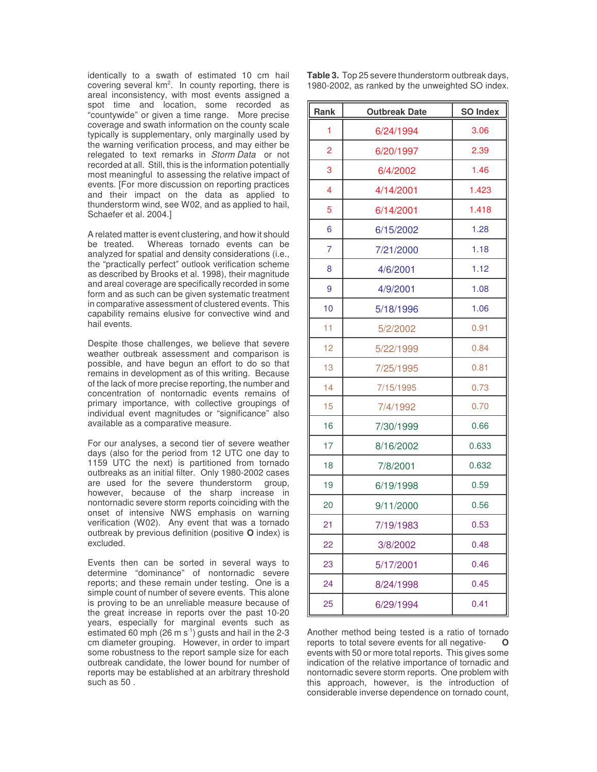identically to a swath of estimated 10 cm hail covering several  $km^2$ . In county reporting, there is areal inconsistency, with most events assigned a spot time and location, some recorded as "countywide" or given a time range. More precise coverage and swath information on the county scale typically is supplementary, only marginally used by the warning verification process, and may either be relegated to text remarks in *Storm Data* or not recorded at all. Still, this is the information potentially most meaningful to assessing the relative impact of events. [For more discussion on reporting practices and their impact on the data as applied to thunderstorm wind, see W02, and as applied to hail, Schaefer et al. 2004.]

A related matter is event clustering, and how it should be treated. Whereas tornado events can be analyzed for spatial and density considerations (i.e., the "practically perfect" outlook verification scheme as described by Brooks et al. 1998), their magnitude and areal coverage are specifically recorded in some form and as such can be given systematic treatment in comparative assessment of clustered events. This capability remains elusive for convective wind and hail events.

Despite those challenges, we believe that severe weather outbreak assessment and comparison is possible, and have begun an effort to do so that remains in development as of this writing. Because of the lack of more precise reporting, the number and concentration of nontornadic events remains of primary importance, with collective groupings of individual event magnitudes or "significance" also available as a comparative measure.

For our analyses, a second tier of severe weather days (also for the period from 12 UTC one day to 1159 UTC the next) is partitioned from tornado outbreaks as an initial filter. Only 1980-2002 cases are used for the severe thunderstorm group, however, because of the sharp increase in nontornadic severe storm reports coinciding with the onset of intensive NWS emphasis on warning verification (W02). Any event that was a tornado outbreak by previous definition (positive **O** index) is excluded.

Events then can be sorted in several ways to determine "dominance" of nontornadic severe reports; and these remain under testing. One is a simple count of number of severe events. This alone is proving to be an unreliable measure because of the great increase in reports over the past 10-20 years, especially for marginal events such as estimated 60 mph (26 m s<sup>-1</sup>) gusts and hail in the 2-3 cm diameter grouping. However, in order to impart some robustness to the report sample size for each outbreak candidate, the lower bound for number of reports may be established at an arbitrary threshold such as 50 .

**Table 3.** Top 25 severe thunderstorm outbreak days, 1980-2002, as ranked by the unweighted SO index.

| Rank           | <b>Outbreak Date</b> | <b>SO Index</b> |  |
|----------------|----------------------|-----------------|--|
| 1              | 6/24/1994            | 3.06            |  |
| 2              | 6/20/1997            | 2.39            |  |
| 3              | 6/4/2002             | 1.46            |  |
| 4              | 4/14/2001            | 1.423           |  |
| 5              | 6/14/2001            | 1.418           |  |
| 6              | 6/15/2002            | 1.28            |  |
| $\overline{7}$ | 7/21/2000            | 1.18            |  |
| 8              | 4/6/2001             | 1.12            |  |
| 9              | 4/9/2001             | 1.08            |  |
| 10             | 5/18/1996            | 1.06            |  |
| 11             | 5/2/2002             | 0.91            |  |
| 12             | 5/22/1999            | 0.84            |  |
| 13             | 7/25/1995            | 0.81            |  |
| 14             | 7/15/1995            | 0.73            |  |
| 15             | 7/4/1992             | 0.70            |  |
| 16             | 7/30/1999            | 0.66            |  |
| 17             | 8/16/2002            | 0.633           |  |
| 18             | 7/8/2001             | 0.632           |  |
| 19             | 6/19/1998            | 0.59            |  |
| 20             | 9/11/2000            | 0.56            |  |
| 21             | 7/19/1983            | 0.53            |  |
| 22             | 3/8/2002             | 0.48            |  |
| 23             | 5/17/2001            | 0.46            |  |
| 24             | 8/24/1998            | 0.45            |  |
| 25             | 6/29/1994            | 0.41            |  |

Another method being tested is a ratio of tornado reports to total severe events for all negativeevents with 50 or more total reports. This gives some indication of the relative importance of tornadic and nontornadic severe storm reports. One problem with this approach, however, is the introduction of considerable inverse dependence on tornado count,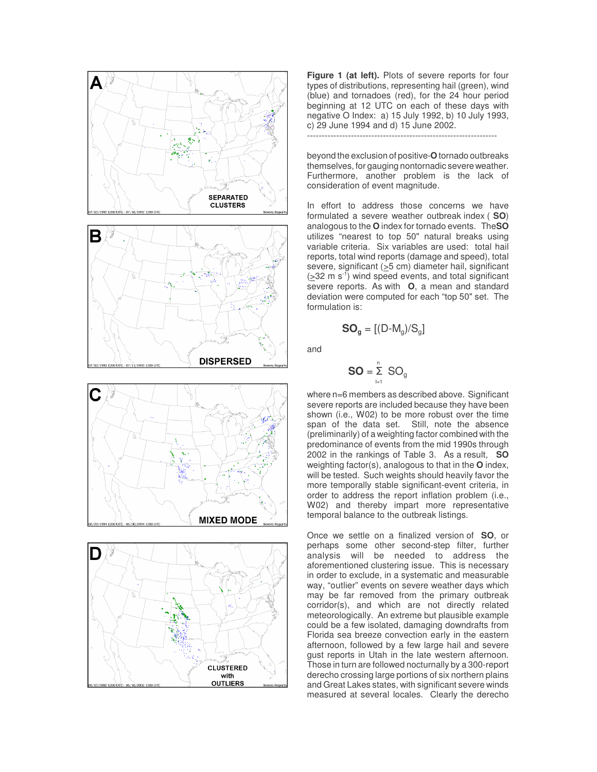



**Figure 1 (at left).** Plots of severe reports for four types of distributions, representing hail (green), wind (blue) and tornadoes (red), for the 24 hour period beginning at 12 UTC on each of these days with negative O Index: a) 15 July 1992, b) 10 July 1993, c) 29 June 1994 and d) 15 June 2002. -----------------------------------------------------------------

beyond the exclusion of positive-**O**tornado outbreaks themselves, for gauging nontornadic severe weather. Furthermore, another problem is the lack of consideration of event magnitude.

In effort to address those concerns we have formulated a severe weather outbreak index ( **SO**) analogous to the **O** index for tornado events. The**SO** utilizes "nearest to top 50" natural breaks using variable criteria. Six variables are used: total hail reports, total wind reports (damage and speed), total severe, significant ( $\geq$ 5 cm) diameter hail, significant  $( \geq 32 \, \text{m s}^{-1} )$  wind speed events, and total significant severe reports. As with **O**, a mean and standard deviation were computed for each "top 50" set. The formulation is:

$$
\text{SO}_g = [(D-M_g)/S_g]
$$

and

$$
\mathbf{SO} = \sum_{i=1}^{n} SO_{g}
$$

where n=6 members as described above. Significant severe reports are included because they have been shown (i.e., W02) to be more robust over the time span of the data set. Still, note the absence (preliminarily) of a weighting factor combined with the predominance of events from the mid 1990s through 2002 in the rankings of Table 3. As a result, **SO** weighting factor(s), analogous to that in the **O** index, will be tested. Such weights should heavily favor the more temporally stable significant-event criteria, in order to address the report inflation problem (i.e., W02) and thereby impart more representative temporal balance to the outbreak listings.

Once we settle on a finalized version of **SO**, or perhaps some other second-step filter, further analysis will be needed to address the aforementioned clustering issue. This is necessary in order to exclude, in a systematic and measurable way, "outlier" events on severe weather days which may be far removed from the primary outbreak corridor(s), and which are not directly related meteorologically. An extreme but plausible example could be a few isolated, damaging downdrafts from Florida sea breeze convection early in the eastern afternoon, followed by a few large hail and severe gust reports in Utah in the late western afternoon. Those in turn are followed nocturnally by a 300-report derecho crossing large portions of six northern plains and Great Lakes states, with significant severe winds measured at several locales. Clearly the derecho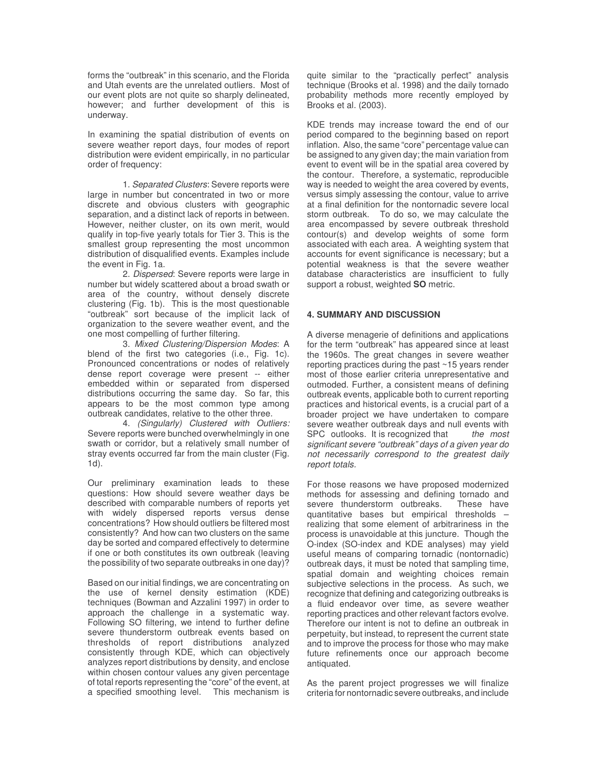forms the "outbreak" in this scenario, and the Florida and Utah events are the unrelated outliers. Most of our event plots are not quite so sharply delineated, however; and further development of this is underway.

In examining the spatial distribution of events on severe weather report days, four modes of report distribution were evident empirically, in no particular order of frequency:

1. *Separated Clusters*: Severe reports were large in number but concentrated in two or more discrete and obvious clusters with geographic separation, and a distinct lack of reports in between. However, neither cluster, on its own merit, would qualify in top-five yearly totals for Tier 3. This is the smallest group representing the most uncommon distribution of disqualified events. Examples include the event in Fig. 1a.

2. *Dispersed*: Severe reports were large in number but widely scattered about a broad swath or area of the country, without densely discrete clustering (Fig. 1b). This is the most questionable "outbreak" sort because of the implicit lack of organization to the severe weather event, and the one most compelling of further filtering.

3. *Mixed Clustering/Dispersion Modes*: A blend of the first two categories (i.e., Fig. 1c). Pronounced concentrations or nodes of relatively dense report coverage were present -- either embedded within or separated from dispersed distributions occurring the same day. So far, this appears to be the most common type among outbreak candidates, relative to the other three.

4. *(Singularly) Clustered with Outliers:* Severe reports were bunched overwhelmingly in one swath or corridor, but a relatively small number of stray events occurred far from the main cluster (Fig. 1d).

Our preliminary examination leads to these questions: How should severe weather days be described with comparable numbers of reports yet with widely dispersed reports versus dense concentrations? How should outliers be filtered most consistently? And how can two clusters on the same day be sorted and compared effectively to determine if one or both constitutes its own outbreak (leaving the possibility of two separate outbreaks in one day)?

Based on our initial findings, we are concentrating on the use of kernel density estimation (KDE) techniques (Bowman and Azzalini 1997) in order to approach the challenge in a systematic way. Following SO filtering, we intend to further define severe thunderstorm outbreak events based on thresholds of report distributions analyzed consistently through KDE, which can objectively analyzes report distributions by density, and enclose within chosen contour values any given percentage of total reports representing the "core" of the event, at a specified smoothing level. This mechanism is

quite similar to the "practically perfect" analysis technique (Brooks et al. 1998) and the daily tornado probability methods more recently employed by Brooks et al. (2003).

KDE trends may increase toward the end of our period compared to the beginning based on report inflation. Also, the same "core" percentage value can be assigned to any given day; the main variation from event to event will be in the spatial area covered by the contour. Therefore, a systematic, reproducible way is needed to weight the area covered by events, versus simply assessing the contour, value to arrive at a final definition for the nontornadic severe local storm outbreak. To do so, we may calculate the area encompassed by severe outbreak threshold contour(s) and develop weights of some form associated with each area. A weighting system that accounts for event significance is necessary; but a potential weakness is that the severe weather database characteristics are insufficient to fully support a robust, weighted **SO** metric.

# **4. SUMMARY AND DISCUSSION**

A diverse menagerie of definitions and applications for the term "outbreak" has appeared since at least the 1960s. The great changes in severe weather reporting practices during the past ~15 years render most of those earlier criteria unrepresentative and outmoded. Further, a consistent means of defining outbreak events, applicable both to current reporting practices and historical events, is a crucial part of a broader project we have undertaken to compare severe weather outbreak days and null events with SPC outlooks. It is recognized that *the most significant severe "outbreak" days of a given year do not necessarily correspond to the greatest daily report totals.*

For those reasons we have proposed modernized methods for assessing and defining tornado and<br>severe thunderstorm outbreaks. These have severe thunderstorm outbreaks. quantitative bases but empirical thresholds – realizing that some element of arbitrariness in the process is unavoidable at this juncture. Though the O-index (SO-index and KDE analyses) may yield useful means of comparing tornadic (nontornadic) outbreak days, it must be noted that sampling time, spatial domain and weighting choices remain subjective selections in the process. As such, we recognize that defining and categorizing outbreaks is a fluid endeavor over time, as severe weather reporting practices and other relevant factors evolve. Therefore our intent is not to define an outbreak in perpetuity, but instead, to represent the current state and to improve the process for those who may make future refinements once our approach become antiquated.

As the parent project progresses we will finalize criteria for nontornadic severe outbreaks, and include